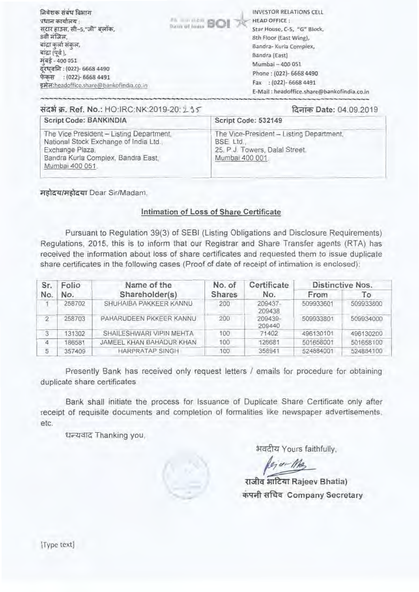| निवेशक संबंध विभाग<br>प्रधान कार्यालय :<br>सटार हाउस, सी-5,"जी" बलॉक,<br>8वी मजिल,<br>बाद्रा कर्ला सकल,<br>बादा (पर्व),<br>मबड़े - 400 051<br>दूरधुवनि: (022)- 6668 4490<br>फेकस : (022)- 6668 4491<br>इमेल:headoffice.share@bankofindia.co.in | <b><i>Change of Indian</i></b> BOI | <b>INVESTOR RELATIONS CELL</b><br><b>HEAD OFFICE:</b><br>Star House, C-5, "G" Block,<br>8th Floor (East Wing),<br>Bandra- Kurla Complex,<br>Bandra (East)<br>Mumbai - 400 051<br>Phone: (022)- 6668 4490<br>$: (022) - 66684491$<br>Fax<br>E-Mail: headoffice.share@bankofindia.co.in |
|------------------------------------------------------------------------------------------------------------------------------------------------------------------------------------------------------------------------------------------------|------------------------------------|---------------------------------------------------------------------------------------------------------------------------------------------------------------------------------------------------------------------------------------------------------------------------------------|
|------------------------------------------------------------------------------------------------------------------------------------------------------------------------------------------------------------------------------------------------|------------------------------------|---------------------------------------------------------------------------------------------------------------------------------------------------------------------------------------------------------------------------------------------------------------------------------------|

| संदर्भ क्र. Ref. No.: HO:IRC:NK:2019-20: 2.15                                                                                                                 | दिनांक Date: 04.09.2019                                                                                   |
|---------------------------------------------------------------------------------------------------------------------------------------------------------------|-----------------------------------------------------------------------------------------------------------|
| Script Code: BANKINDIA                                                                                                                                        | Script Code: 532149                                                                                       |
| The Vice President - Listing Department,<br>National Stock Exchange of India Ltd.<br>Exchange Plaza,<br>Bandra Kurla Complex, Bandra East,<br>Mumbai 400 051. | The Vice-President - Listing Department,<br>BSE Ltd.<br>25, P.J. Towers, Dalal Street.<br>Mumbai 400 001. |

महोदय/महोदया Dear Sir/Madam.

#### Intimation of Loss of Share Certificate

Pursuant to Regulation 39(3) of SEBI (Listing Obligations and Disclosure Requirements) Regulations, 2015, this is to inform that our Registrar and Share Transfer agents (RTA) has received the information about loss of share certificates and requested them to issue duplicate share certificates in the following cases (Proof of date of receipt of intimation is enclosed):

| Folio<br>Sr.<br>No.<br>No. |                | Name of the              | No. of | Certificate       | Distinctive Nos. |           |  |
|----------------------------|----------------|--------------------------|--------|-------------------|------------------|-----------|--|
|                            | Shareholder(s) | <b>Shares</b>            | No.    | From              | Τo               |           |  |
|                            | 258702         | SHUHAIBA PAKKEER KANNU   | 200    | 209437-<br>209438 | 509933601        | 509933800 |  |
| $\overline{2}$             | 258703         | PAHARUDEEN PKKEER KANNU  | 200    | 209439-<br>209440 | 509933801        | 509934000 |  |
| 3                          | 131302         | SHAILESHWARI VIPIN MEHTA | 100    | 71402             | 496130101        | 496130200 |  |
| $\overline{4}$             | 186581         | JAMEEL KHAN BAHADUR KHAN | 100    | 126681            | 501658001        | 501658100 |  |
| 5                          | 357409         | <b>HARPRATAP SINGH</b>   | 100    | 358941            | 524884001        | 524884100 |  |

Presently Bank has received only request letters / emails for procedure for obtaining duplicate share certificates

Bank shall initiate the process for Issuance of Duplicate Share Certificate only after receipt of requisite documents and completion of formalities like newspaper advertisements, etc.

धन्यवाद Thanking you,

भवदीय Yours faithfully,

myna Sean'Rajeev **Bhatia) कपनी सचिव Company Secretary** 

[Type text]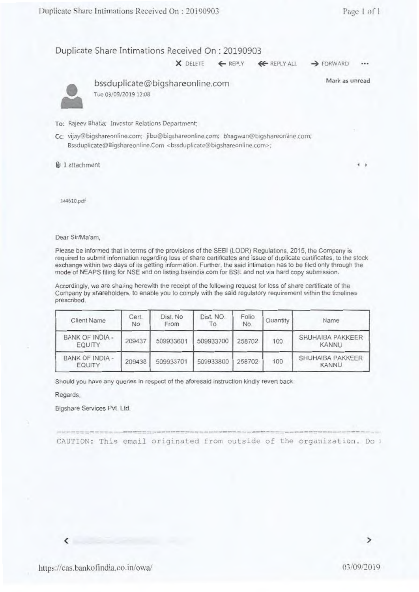×

## Duplicate Share Intimations Received On : 20190903

**X** DELETE ← REPLY ← REPLY ALL → FORWARD •••

Mark as unread



bssduplicate@bigshareonline.com **The** 03/09/201912:08

To: Rajeev 8hatia: Investor Relations Department

Cc: vijay@bigshareonline.com; jibu@bigshareontine.com; bhagwan@bigshareonline.com. Bssduplicate@Bigshareonline.Com <bssduplicate@bigshareonline.com>;

lb 1 attachment **<sup>4</sup>**

344610.pdf

Dear Sir/Ma'am,

Please be informed that in terms of the provisions of the SEBI (LODR) Regulations, 2015, the Company is required to submit information regarding loss of share certificates and issue of duplicate certificates, to the stock exchange within two days of its getting information. Further, the said intimation has to be filed only through the mode of NEAPS filing for NSE and on listing.bseindia.com for BSE and not via hard copy submission.

Accordingly, we are sharing herewith the receipt of the following request for loss of share certificate of the Company by shareholders. to enable you to comply with the said regulatory requirement within the timelines prescribed.

| Client Name                      | Cert.<br>No | Dist. No<br>From | Dist. NO.<br>To. | Folio.<br>No. | Quantity | Name                             |
|----------------------------------|-------------|------------------|------------------|---------------|----------|----------------------------------|
| <b>BANK OF INDIA -</b><br>EQUITY | 209437      | 509933601        | 509933700        | 258702        | 100      | SHUHAIBA PAKKEER<br><b>KANNU</b> |
| <b>BANK OF INDIA -</b><br>EQUITY | 209438      | 509933701        | 509933800        | 258702        | 100      | SHUHAIBA PAKKEER<br>KANNU        |

Should you have any queries in respect of the aforesaid instruction kindly evert back.

Regards.

Ł

Bigshare Services Pvt. Ltd.

CAUTION: This email originated from outside of the organization. Do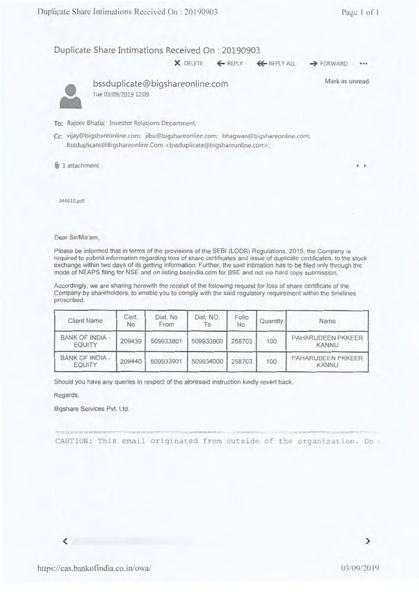b.

Duplicate Share Intimations Received On: 20190903

 $\times$  DELETE  $\leftarrow$  REPLY  $\leftarrow$  REPLY ALL  $\rightarrow$  FORWARD

Mark as unread



bssduplicate@bigshareonline.com I ue 03/09/2019 12:09

To: Rajecv Bhatia: Investor Relations Department;

Cc: vijay@bigshareonline.com: jibu@bigshareonline.com; bhagwan@bigshareonline.com; Bssduplicate@Bigshareonline.Com <br/>bssduplicate@bigshareonline.com>;

 $\n **u**$  1 attachment

344610.pdt

Dear Sir/Ma'am,

Please be informed that in terms of the provisions of the SEBI (LODR) Regulations, 2015, the Company is required to submit information regarding loss of share certificates and issue of duplicate certificates, to the stock exchange within two days of its getting information. Further, the said intimation has to be filed only through the mode of NEAPS filing for NSE and on listing.bseindia.com for BSC and not via hard copy submission.

Accordingly, we are sharing herewith the receipt of the following request for loss of share certificate of the Company by shareholders. to enable you to comply with the said regulatory requirement within the timelines prescribed.

| <b>Client Name</b>               | Cert.<br>No | Dist. No<br>From | Dist. NO.<br>Τo | Folio<br>No. | Quantity | Name                       |
|----------------------------------|-------------|------------------|-----------------|--------------|----------|----------------------------|
| <b>BANK OF INDIA -</b><br>EQUITY | 209439      | 509933801        | 509933900       | 258703       | 100      | PAHARUDEEN PKKEER<br>KANNU |
| BANK OF INDIA -<br>EQUITY        | 209440      | 509933901        | 509934000       | 258703       | 100      | PAHARUDEEN PKKEER<br>KANNU |

Should you have any queries in respect of the aforesaid instruction kindly revert back.

Regards.

Bigshare Services Pvt. Ltd.

CAUTION: This email originated from outside of the organization. Do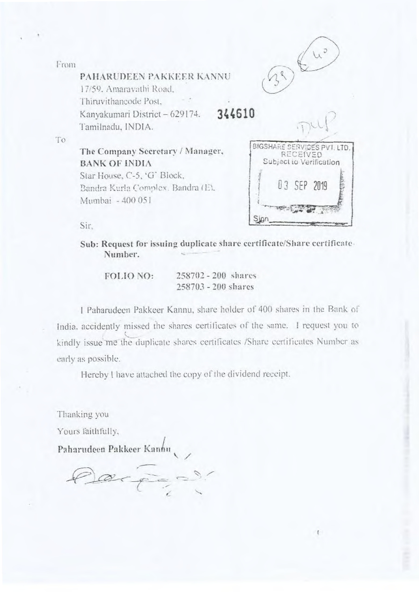From



PAHARUDEEN PAKKEER KANNU 17159. Amaravathi Road. Thiruvithancode Post, Kanyakumari District — 629174. Tamilnadu, INDIA.

344610



The Company Secretary / Manager, BANK Of INDIA Star House, C-5, 'G' Block. Bandra Kurla Complex. Bandra (E). Mumhai - 400 05 I



 $\mathfrak{g}$ 

Sir,

Sub: Request for issuing duplicate share certificate/Share certificate. Number.

FOLIO NO: 258702 - 200 shares 258703 - 200 shares

<sup>I</sup>Paharudeen Pakkeer Kannu, share holder of 400 shares in the Bank of India. accidently missed the shares certificates of the same. I request you to kindly issue me the duplicate shares certificates /Share certificates Number as early as possible.

Hereby I have attached the copy of the dividend receipt.

Thanking you

Yours faithfully,

Paharudeen Pakkeer Kannu

•-•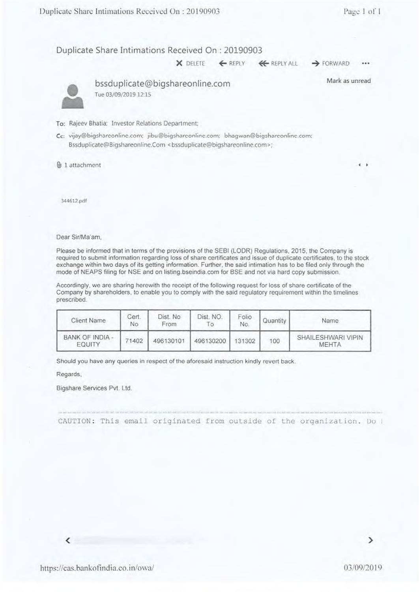x

### Duplicate Share Intimations Received On : 20190903

**X** DELETE ← REPLY ← REPLY ALL → FORWARD

Mark as unread



• bssduplicate@bigshareonline.com Tue 03/09/2019 12:15

To: Rajeev Bhatia; Investor Relations Department;

Cc: vijay@bigshareonline.com; jibu@bigshareonlino.com; bhagwan@bigsharconlinc.com: Bssduplicate@Bigshareonline.Com <br/>bssduplicate@bigshareonline.com>:

% 1 attachment **<sup>4</sup>**

**344612.pdf** 

Dear Sir/Ma'am,

Please be informed that in terms of the provisions of the SEBI (LODR) Regulations, 2015, the Company is required to submit information regarding loss of share certificates and issue of duplicate certificates, to the stock exchange within two days of its getting information. Further, the said intimation has to be filed only through the mode of NEAPS filing for NSE and on listing.bseindia.com for BSE and not via hard copy submission.

Accordingly, we are sharing herewith the receipt of the following request for loss of share certificate of the Company by shareholders, to enable you to comply with the said regulatory requirement within the timelines prescribed.

| Client Name               | Cert.<br>Nο | Dist. No<br>From | Dist. NO. | Folio<br>No. | Quantity | Name.                       |
|---------------------------|-------------|------------------|-----------|--------------|----------|-----------------------------|
| BANK OF INDIA -<br>EQUITY | 71402       | 496130101        | 496130200 | 131302       | 100      | SHAILESHWARI VIPIN<br>MEHTA |

Should you have any queries in respect of the aforesaid instruction kindly revert back.

Regards,

Bigshare Services Pvt. Ltd.

CAUTION: This email originated from outside of the organization. Do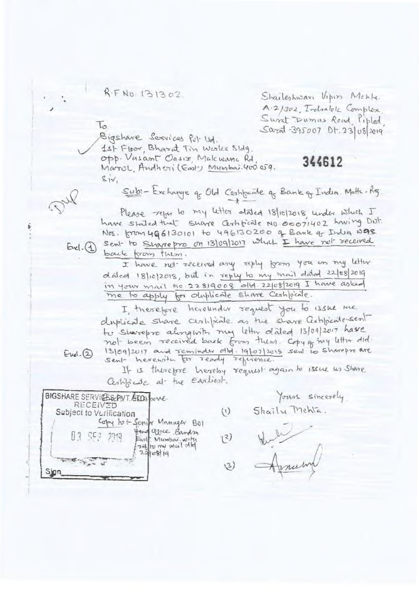R-F No. 131302

 $\iota$ 

 $Evel.(4)$ 

 $Evel(2)$ 

Sharleshware Vipin Mekly. A.2/302, Indialok Complex Sweat Dumas Road, Piplod  $Súrad - 395007$  Dt. 23/08/2019

344612

Bigshave Services Put Ud.

1st Floor, Bharat Tin Works Bldg.

Opp. Vasant Oasix, Makwana Rd March, Andhesi (East) Mumbai 400 059.  $siv$ 

Sub: - Exchange q Old Cestificate q Bank of India. Matter-Rg.

Please refor to my letter stated 18/10/2018, under which I have stated that share Certificate No oco71402 having Dist. Nos. from 496130101 to 496130200 of Bank of India was Sent to Sharepro on 13/09/2017 which I have not received

back from them.

I have not received any reply from you an my letter dated 18/10/2018, but in reply to my mail dated 22/08/2019 in your mail No. 22819008 old. 22/08/2019 I have asked me to apply for ourplicate share Ceshfoicate.

I therefore hereunder request you to issue me duplicate share certificate as the share artificate sent to Sharepro alongwith my letter dated 13/09/2017 have not been received back from them. Copy of my letter did. 13/09/2017 and reminder old. 19/07/2015 sent to sharepro are

If is therefore hereby request again to issue us share Certificate at the earliest.

 $\mathcal{L}^{(1)}$ 

BIGSHARE SERVICES ENT. ATO3 bone RECEIVED Subject to Vorification Copy to + Senify Manager Bol Head Yorke, Bandon East Mumbai.with<br>self to my mul did  $240819$ 

Yours sincerely Shaily Mehla.

 $(2)$  $(3)$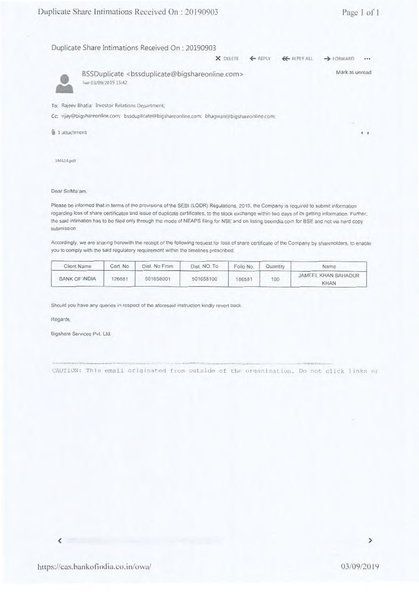| pheate share mumations received On : 20190903                                              |                                                                                  |         |                     | t. age 1 01    |  |
|--------------------------------------------------------------------------------------------|----------------------------------------------------------------------------------|---------|---------------------|----------------|--|
| Duplicate Share Intimations Received On : 20190903                                         |                                                                                  |         |                     |                |  |
|                                                                                            | X DELETE                                                                         | ← REPLY | <b>KE</b> REPLY ALL | > FORWARD      |  |
| Tue 03/09/2019 15:42                                                                       | BSSDuplicate <bssduplicate@bigshareonline.com></bssduplicate@bigshareonline.com> |         |                     | Mark as unread |  |
| To: Rajeev Bhatia: Investor Relations Department:                                          |                                                                                  |         |                     |                |  |
| Cc: vijay@bigshareonline.com; bssduplicate@bigshareonline.com; bhagwan@bigshareonline.com; |                                                                                  |         |                     |                |  |
| <b>Q</b> 1 attachment                                                                      |                                                                                  |         |                     |                |  |
| 344614.pdf                                                                                 |                                                                                  |         |                     |                |  |

#### Dear Sir/Ma'am.

Please be informed that in terms of the provisions of the SEBI (LODR) Regulations, 2015, the Company is required to submit information regarding loss of share certificates and issue of Duplicate certificates, to the stock exchange within two cays of its getting information Further. the said intimation has to be filed only through the mode of NEAPS filing for NSE and on listing.bscindia.com for BSE and not via hard copy submission

Accordingly, we are snaring herewith the receipt of the following request for loss of share certificate of the Company by shareholders. to enable you to comply with the said regulatory requirement within the timelines prescribed.

| Client Name          | Cert. No | Dist. No From | Dist. NO. To | Folio No. | Quantity | Name                               |
|----------------------|----------|---------------|--------------|-----------|----------|------------------------------------|
| <b>BANK OF INDIA</b> | 26681    | 501658001     | 501658100    | 86581     | 100      | JAMEEL KHAN BAHADUR<br><b>KHAN</b> |

Should you have any queries in respect of the aforesaid instruction kindly revert back.

Regards,

Bigshare Services Pvt. Ltd.

CAUTION: This email originated from outside of the organization. Do not click links or

C

 $\mathcal{P}$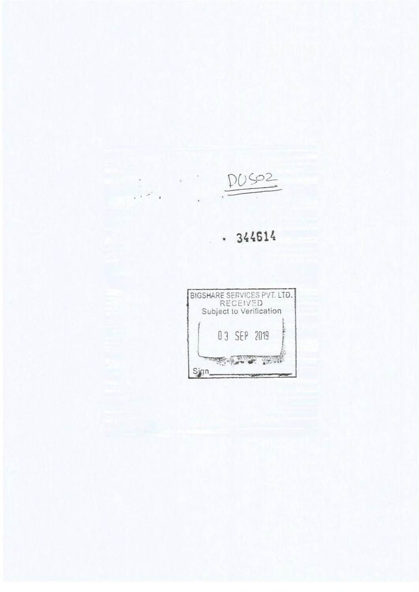DU SO2

 $\begin{array}{c} \begin{array}{c} \bullet \\ \bullet \\ \bullet \end{array} & \begin{array}{c} \bullet \\ \bullet \end{array} & \begin{array}{c} \bullet \\ \bullet \end{array} & \begin{array}{c} \bullet \\ \bullet \end{array} & \begin{array}{c} \bullet \\ \bullet \end{array} & \begin{array}{c} \bullet \\ \bullet \end{array} & \begin{array}{c} \bullet \\ \bullet \end{array} & \begin{array}{c} \bullet \\ \bullet \end{array} & \begin{array}{c} \bullet \\ \bullet \end{array} & \begin{array}{c} \bullet \\ \bullet \end{array} & \begin{array}{c} \bullet \\ \bullet \end{array} & \begin{array}{c} \bullet \\ \bullet$ 

# • 344614

è

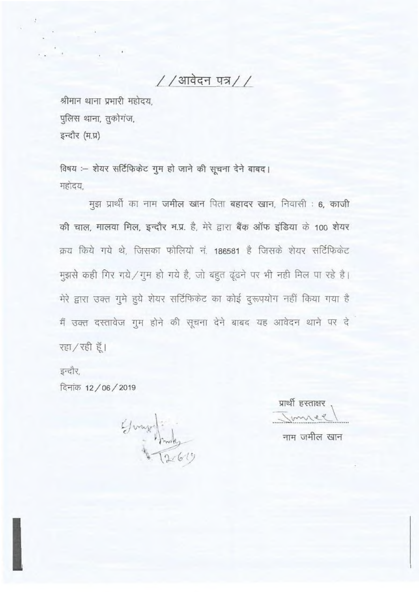//आवेदन पत्र//

श्रीमान थाना प्रभारी महोदय. पुलिस थाना, तुकोगंज, इन्दौर (म.प्र)

विषय :- शेयर सर्टिफिकेट गुम हो जाने की सूचना देने बाबद। महोदय.

मुझ प्रार्थी का नाम जमील खान पिता बहादर खान, निवासी : 6, काजी की चाल, मालवा मिल, इन्दौर म.प्र. है, मेरे द्वारा बैंक ऑफ इंडिया के 100 शेयर क्रय किये गये थे. जिसका फोलियो नं. 186581 है जिसके शेयर सर्टिफिकेट मुझसे कही गिर गये / गुम हो गये है, जो बहुत ढूंढने पर भी नही मिल पा रहे है। मेरे द्वारा उक्त गुमे हुये शेयर सर्टिफिकेट का कोई दुरूपयोग नहीं किया गया है मैं उक्त दस्तावेज गुम होने की सूचना देने बाबद यह आवेदन थाने पर दे रहा / रही हूँ।

इन्दौर,

दिनांक 12 / 06 / 2019

George Prode

प्रार्थी हस्ताक्षर नाम जमील खान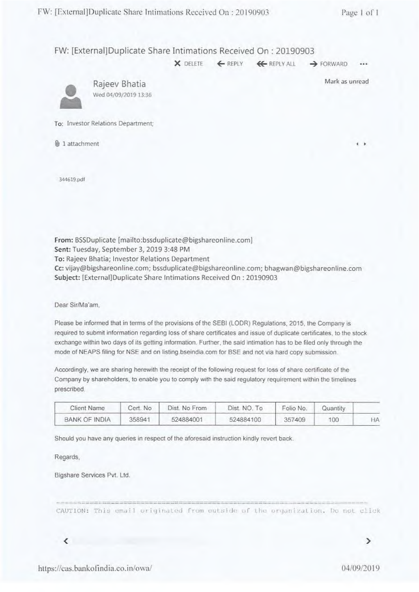FW: [External]Duplicate Share Intimations Received On : 20190903

X DELETE ← REPLY ← REPLY ALL → FORWARD •••



Rajeev Bhatia Mark as unread Wed 04/09/2019 13:36

To: Investor Relations Department;

1 attachment **4 •**

341619.pdf

From: BSSDuplicate [mailto:bssduplicate@bigshareonline.coml Sent: Tuesday, September 3, 2019 3:48 PM To: Rajeev Bhatia; Investor Relations Department Cc: vijay@bigshareonline.com; bssduplicate@bigshareonline.com; bhagwan@bigshareonline.com Subject: [External)Duplicate Share Intimations Received On : 20190903

Dear Sir/Ma'am.

Please be informed that in terms of the provisions of the SEBI (LODR) Regulations, 2015, the Company is required to submit information regarding loss of share certificates and issue of duplicate certificates, to the stock exchange within two days of its getting information. Further, the said intimation has to be filed only through the mode of NEAPS filing for NSE and on listing bseindia com for BSE and not via hard copy submission.

Accordingly, we are sharing herewith the receipt of the following request for loss of share certificate of the Company by shareholders, to enable you to comply with the said regulatory requirement within the timelines prescribed.

| Client Name   | Cert No | Dist. No From | Dist. NO. To | Folio No. | Quantity |    |
|---------------|---------|---------------|--------------|-----------|----------|----|
| BANK OF INDIA | 358941  | 524884001     | 524884100    | 357409    | 100      | łА |

Should you have any queries in respect of the aforesaid instruction kindly revert back.

Regards,

Bigshare Services Pvt. Ltd.

CAUTION: This email originated from outside of the organization. Do not click

 $\overline{\phantom{a}}$ 

 $\rightarrow$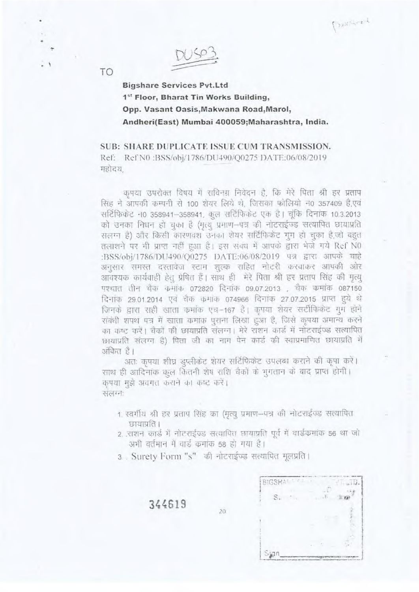Paul Lee L

**Bigshare Services Pvt.Ltd** 1st Floor, Bharat Tin Works Building, Opp. Vasant Oasis, Makwana Road, Marol, Andheri(East) Mumbai 400059; Maharashtra, India.

SUB: SHARE DUPLICATE ISSUE CUM TRANSMISSION. Ref: Ref N0 :BSS/obj/1786/DU490/Q0275 DATE:06/08/2019 महोदय

कपया उपरोक्त विषय में सविनम्र निवेदन है, कि मेरे पिता श्री हर प्रताप सिंह ने आपकी कम्पनी से 100 शेयर लिये थे, जिसका फोलियो न0 357409 है,एवं सर्टिफिकेट न0 358941-358941, कूल सर्टिफिकेट एक है। चूंकि दिनांक 10.3.2013 को उनका निधन हो चुका है (मृत्यु प्रमाण-पत्र की नोटराईज्ड सत्यापित छायाप्रति सलम्न है) और किसी कारणवश उनका शेयर सर्टिफिकेंट गूग हो चुका है,जो बहुत तलाशने पर भी प्राप्त नहीं हुआ है। इस संक्ध में आपके द्वारा भेजे गये Ref N0 :BSS/obj/1786/DU490/Q0275 DATE:06/08/2019 पत्र द्वारा आपके चाहे अनुसार समस्त दरतावेज स्टाम शुल्क राहित नोटरी करवाकर आपकी ओर आवश्यक कार्यवाही हेतु प्रेषित हैं। साथ ही मेरे पिता श्री हर प्रताप सिंह की मृत्यू पश्चात तीन चैंक कमांक 072820 दिनांक 09.07.2013 , चैक कमांक 087150 दिनांक 29.01.2014 एवं चैक कमाक 074966 दिनांक 27.07.2015 प्राप्त हये थे जिनके द्वारा सही खाता कर्माक एच-167 है। कृपया शेयर सर्टीफिकेट गुम होने संबंधी शपथ पत्र में खाता कमांक पराना लिखा हुआ है, जिसे कृपया अमान्य करने का कष्ट करें। चैकों की छायाप्रति संलग्न। मेरे राशन कार्ड में नोटराईज्ड सत्यापित छायाप्रति संलग्न है) पिता जी का नाग पेन कार्ड की स्वाप्रमाणित छायाप्रति में अंकित है।

अतः कपया शीघ्र इप्लीकेंट शेयर सर्टिफिकेंट उपलब्ध कराने की कृपा करें। रााथ ही आदिनांक कूल कितनी शेष राशि चैकों के भुगतान के बाद प्राप्त होगी। कृपया मुझे अवगत कराने का कष्ट करें। संलग्नः

- 1. स्वर्गीय श्री हर प्रताप सिंह का (मृत्यू प्रमाण-पत्र की नोटराईज्ड सत्यापित छायाप्रति ।
- 2. राशन कार्ड में नोटराईज्ड सत्यापित छायाप्रति पूर्व में वार्डकमांक 56 था जो अभी वर्तमान में वार्ड कमांक 58 हो गया है।
- 3 . Surety Form "s" की नोटराईज्ड सत्यापित मूलप्रति।

 $20$ 

**RIGSHALL CALL COM**  $\sim$   $\sim$   $\sim$  $E$ 

344619

TO